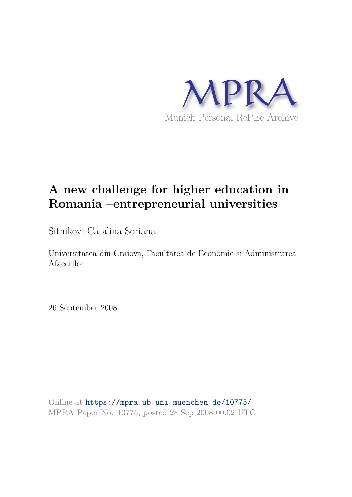

# **A new challenge for higher education in Romania –entrepreneurial universities**

Sitnikov, Catalina Soriana

Universitatea din Craiova, Facultatea de Economie si Administrarea Afacerilor

26 September 2008

Online at https://mpra.ub.uni-muenchen.de/10775/ MPRA Paper No. 10775, posted 28 Sep 2008 00:02 UTC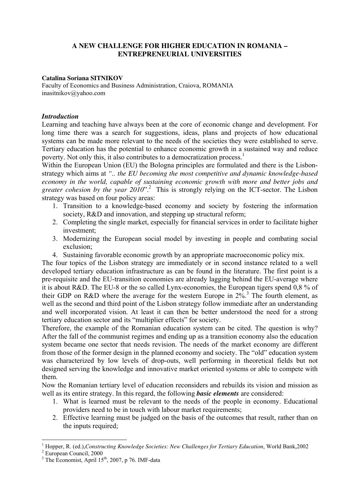### **A NEW CHALLENGE FOR HIGHER EDUCATION IN ROMANIA – ENTREPRENEURIAL UNIVERSITIES**

#### **Catalina Soriana SITNIKOV**

Faculty of Economics and Business Administration, Craiova, ROMANIA inasitnikov@yahoo.com

#### *Introduction*

Learning and teaching have always been at the core of economic change and development. For long time there was a search for suggestions, ideas, plans and projects of how educational systems can be made more relevant to the needs of the societies they were established to serve. Tertiary education has the potential to enhance economic growth in a sustained way and reduce poverty. Not only this, it also contributes to a democratization process.<sup>1</sup>

Within the European Union (EU) the Bologna principles are formulated and there is the Lisbonstrategy which aims at *".. the EU becoming the most competitive and dynamic knowledge-based economy in the world, capable of sustaining economic growth with more and better jobs and greater cohesion by the year 2010*".<sup>2</sup> This is strongly relying on the ICT-sector. The Lisbon strategy was based on four policy areas:

- 1. Transition to a knowledge-based economy and society by fostering the information society, R&D and innovation, and stepping up structural reform;
- 2. Completing the single market, especially for financial services in order to facilitate higher investment;
- 3. Modernizing the European social model by investing in people and combating social exclusion;
- 4. Sustaining favorable economic growth by an appropriate macroeconomic policy mix.

The four topics of the Lisbon strategy are immediately or in second instance related to a well developed tertiary education infrastructure as can be found in the literature. The first point is a pre-requisite and the EU-transition economies are already lagging behind the EU-average where it is about R&D. The EU-8 or the so called Lynx-economies, the European tigers spend 0,8 % of their GDP on R&D where the average for the western Europe in  $2\%$ <sup>3</sup>. The fourth element, as well as the second and third point of the Lisbon strategy follow immediate after an understanding and well incorporated vision. At least it can then be better understood the need for a strong tertiary education sector and its "multiplier effects" for society.

Therefore, the example of the Romanian education system can be cited. The question is why? After the fall of the communist regimes and ending up as a transition economy also the education system became one sector that needs revision. The needs of the market economy are different from those of the former design in the planned economy and society. The "old" education system was characterized by low levels of drop-outs, well performing in theoretical fields but not designed serving the knowledge and innovative market oriented systems or able to compete with them.

Now the Romanian tertiary level of education reconsiders and rebuilds its vision and mission as well as its entire strategy. In this regard, the following *basic elements* are considered:

- 1. What is learned must be relevant to the needs of the people in economy. Educational providers need to be in touch with labour market requirements;
- 2. Effective learning must be judged on the basis of the outcomes that result, rather than on the inputs required;

 $\overline{a}$ 

<sup>&</sup>lt;sup>1</sup> Hopper, R. (ed.),*Constructing Knowledge Societies: New Challenges for Tertiary Education*, World Bank,2002

<sup>2</sup> European Council, 2000

 $3$  The Economist, April  $15<sup>th</sup>$ , 2007, p 76. IMF-data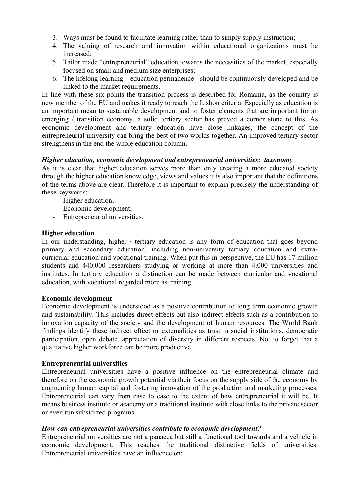- 3. Ways must be found to facilitate learning rather than to simply supply instruction;
- 4. The valuing of research and innovation within educational organizations must be increased;
- 5. Tailor made "entrepreneurial" education towards the necessities of the market, especially focused on small and medium size enterprises;
- 6. The lifelong learning education permanence should be continuously developed and be linked to the market requirements.

In line with these six points the transition process is described for Romania, as the country is new member of the EU and makes it ready to reach the Lisbon criteria. Especially as education is an important mean to sustainable development and to foster elements that are important for an emerging / transition economy, a solid tertiary sector has proved a corner stone to this. As economic development and tertiary education have close linkages, the concept of the entrepreneurial university can bring the best of two worlds together. An improved tertiary sector strengthens in the end the whole education column.

# *Higher education, economic development and entrepreneurial universities: taxonomy*

As it is clear that higher education serves more than only creating a more educated society through the higher education knowledge, views and values it is also important that the definitions of the terms above are clear. Therefore it is important to explain precisely the understanding of these keywords:

- Higher education;
- Economic development;
- Entrepreneurial universities

#### **Higher education**

In our understanding, higher / tertiary education is any form of education that goes beyond primary and secondary education, including non-university tertiary education and extracurricular education and vocational training. When put this in perspective, the EU has 17 million students and 440.000 researchers studying or working at more than 4.000 universities and institutes. In tertiary education a distinction can be made between curricular and vocational education, with vocational regarded more as training.

#### **Economic development**

Economic development is understood as a positive contribution to long term economic growth and sustainability. This includes direct effects but also indirect effects such as a contribution to innovation capacity of the society and the development of human resources. The World Bank findings identify these indirect effect or externalities as trust in social institutions, democratic participation, open debate, appreciation of diversity in different respects. Not to forget that a qualitative higher workforce can be more productive.

#### **Entrepreneurial universities**

Entrepreneurial universities have a positive influence on the entrepreneurial climate and therefore on the economic growth potential via their focus on the supply side of the economy by augmenting human capital and fostering innovation of the production and marketing processes. Entrepreneurial can vary from case to case to the extent of how entrepreneurial it will be. It means business institute or academy or a traditional institute with close links to the private sector or even run subsidized programs.

#### *How can entrepreneurial universities contribute to economic development?*

Entrepreneurial universities are not a panacea but still a functional tool towards and a vehicle in economic development. This reaches the traditional distinctive fields of universities. Entrepreneurial universities have an influence on: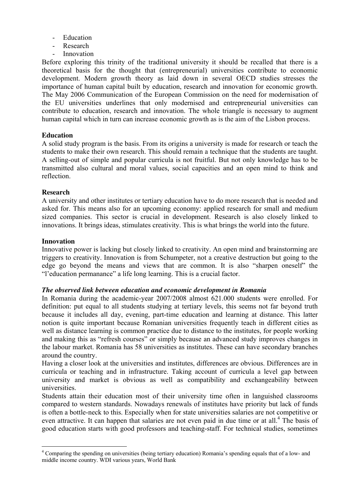- Education
- **Research**
- **Innovation**

Before exploring this trinity of the traditional university it should be recalled that there is a theoretical basis for the thought that (entrepreneurial) universities contribute to economic development. Modern growth theory as laid down in several OECD studies stresses the importance of human capital built by education, research and innovation for economic growth. The May 2006 Communication of the European Commission on the need for modernisation of the EU universities underlines that only modernised and entrepreneurial universities can contribute to education, research and innovation. The whole triangle is necessary to augment human capital which in turn can increase economic growth as is the aim of the Lisbon process.

#### **Education**

A solid study program is the basis. From its origins a university is made for research or teach the students to make their own research. This should remain a technique that the students are taught. A selling-out of simple and popular curricula is not fruitful. But not only knowledge has to be transmitted also cultural and moral values, social capacities and an open mind to think and reflection.

#### **Research**

A university and other institutes or tertiary education have to do more research that is needed and asked for. This means also for an upcoming economy: applied research for small and medium sized companies. This sector is crucial in development. Research is also closely linked to innovations. It brings ideas, stimulates creativity. This is what brings the world into the future.

#### **Innovation**

Innovative power is lacking but closely linked to creativity. An open mind and brainstorming are triggers to creativity. Innovation is from Schumpeter, not a creative destruction but going to the edge go beyond the means and views that are common. It is also "sharpen oneself" the "l'education permanance" a life long learning. This is a crucial factor.

#### *The observed link between education and economic development in Romania*

In Romania during the academic-year 2007/2008 almost 621.000 students were enrolled. For definition: put equal to all students studying at tertiary levels, this seems not far beyond truth because it includes all day, evening, part-time education and learning at distance. This latter notion is quite important because Romanian universities frequently teach in different cities as well as distance learning is common practice due to distance to the institutes, for people working and making this as "refresh courses" or simply because an advanced study improves changes in the labour market. Romania has 58 universities as institutes. These can have secondary branches around the country.

Having a closer look at the universities and institutes, differences are obvious. Differences are in curricula or teaching and in infrastructure. Taking account of curricula a level gap between university and market is obvious as well as compatibility and exchangeability between universities.

Students attain their education most of their university time often in languished classrooms compared to western standards. Nowadays renewals of institutes have priority but lack of funds is often a bottle-neck to this. Especially when for state universities salaries are not competitive or even attractive. It can happen that salaries are not even paid in due time or at all.<sup>4</sup> The basis of good education starts with good professors and teaching-staff. For technical studies, sometimes

 4 Comparing the spending on universities (being tertiary education) Romania's spending equals that of a low- and middle income country. WDI various years, World Bank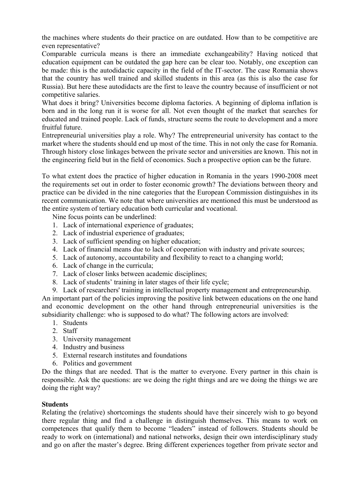the machines where students do their practice on are outdated. How than to be competitive are even representative?

Comparable curricula means is there an immediate exchangeability? Having noticed that education equipment can be outdated the gap here can be clear too. Notably, one exception can be made: this is the autodidactic capacity in the field of the IT-sector. The case Romania shows that the country has well trained and skilled students in this area (as this is also the case for Russia). But here these autodidacts are the first to leave the country because of insufficient or not competitive salaries.

What does it bring? Universities become diploma factories. A beginning of diploma inflation is born and in the long run it is worse for all. Not even thought of the market that searches for educated and trained people. Lack of funds, structure seems the route to development and a more fruitful future.

Entrepreneurial universities play a role. Why? The entrepreneurial university has contact to the market where the students should end up most of the time. This in not only the case for Romania. Through history close linkages between the private sector and universities are known. This not in the engineering field but in the field of economics. Such a prospective option can be the future.

To what extent does the practice of higher education in Romania in the years 1990-2008 meet the requirements set out in order to foster economic growth? The deviations between theory and practice can be divided in the nine categories that the European Commission distinguishes in its recent communication. We note that where universities are mentioned this must be understood as the entire system of tertiary education both curricular and vocational.

Nine focus points can be underlined:

- 1. Lack of international experience of graduates;
- 2. Lack of industrial experience of graduates;
- 3. Lack of sufficient spending on higher education;
- 4. Lack of financial means due to lack of cooperation with industry and private sources;
- 5. Lack of autonomy, accountability and flexibility to react to a changing world;
- 6. Lack of change in the curricula;
- 7. Lack of closer links between academic disciplines;
- 8. Lack of students' training in later stages of their life cycle;
- 9. Lack of researchers' training in intellectual property management and entrepreneurship.

An important part of the policies improving the positive link between educations on the one hand and economic development on the other hand through entrepreneurial universities is the subsidiarity challenge: who is supposed to do what? The following actors are involved:

- 1. Students
- 2. Staff
- 3. University management
- 4. Industry and business
- 5. External research institutes and foundations
- 6. Politics and government

Do the things that are needed. That is the matter to everyone. Every partner in this chain is responsible. Ask the questions: are we doing the right things and are we doing the things we are doing the right way?

# **Students**

Relating the (relative) shortcomings the students should have their sincerely wish to go beyond there regular thing and find a challenge in distinguish themselves. This means to work on competences that qualify them to become "leaders" instead of followers. Students should be ready to work on (international) and national networks, design their own interdisciplinary study and go on after the master's degree. Bring different experiences together from private sector and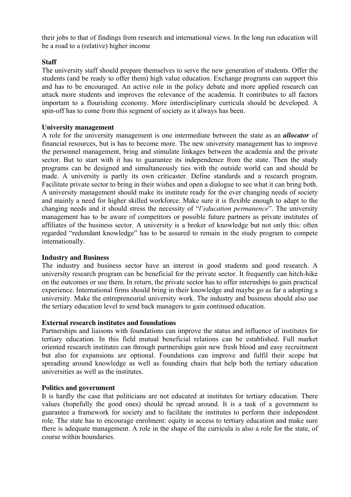their jobs to that of findings from research and international views. In the long run education will be a road to a (relative) higher income

# **Staff**

The university staff should prepare themselves to serve the new generation of students. Offer the students (and be ready to offer them) high value education. Exchange programs can support this and has to be encouraged. An active role in the policy debate and more applied research can attack more students and improves the relevance of the academia. It contributes to all factors important to a flourishing economy. More interdisciplinary curricula should be developed. A spin-off has to come from this segment of society as it always has been.

#### **University management**

A role for the university management is one intermediate between the state as an *allocator* of financial resources, but is has to become more. The new university management has to improve the personnel management, bring and stimulate linkages between the academia and the private sector. But to start with it has to guarantee its independence from the state. Then the study programs can be designed and simultaneously ties with the outside world can and should be made. A university is partly its own criticaster. Define standards and a research program. Facilitate private sector to bring in their wishes and open a dialogue to see what it can bring both. A university management should make its institute ready for the ever changing needs of society and mainly a need for higher skilled workforce. Make sure it is flexible enough to adapt to the changing needs and it should stress the necessity of "*l'education permanence*". The university management has to be aware of competitors or possible future partners as private institutes of affiliates of the business sector. A university is a broker of knowledge but not only this: often regarded "redundant knowledge" has to be assured to remain in the study program to compete internationally.

# **Industry and Business**

The industry and business sector have an interest in good students and good research. A university research program can be beneficial for the private sector. It frequently can hitch-hike on the outcomes or use them. In return, the private sector has to offer internships to gain practical experience. International firms should bring in their knowledge and maybe go as far a adopting a university. Make the entrepreneurial university work. The industry and business should also use the tertiary education level to send back managers to gain continued education.

# **External research institutes and foundations**

Partnerships and liaisons with foundations can improve the status and influence of institutes for tertiary education. In this field mutual beneficial relations can be established. Full market oriented research institutes can through partnerships gain new fresh blood and easy recruitment but also for expansions are optional. Foundations can improve and fulfil their scope but spreading around knowledge as well as founding chairs that help both the tertiary education universities as well as the institutes.

#### **Politics and government**

It is hardly the case that politicians are not educated at institutes for tertiary education. There values (hopefully the good ones) should be spread around. It is a task of a government to guarantee a framework for society and to facilitate the institutes to perform their independent role. The state has to encourage enrolment: equity in access to tertiary education and make sure there is adequate management. A role in the shape of the curricula is also a role for the state, of course within boundaries.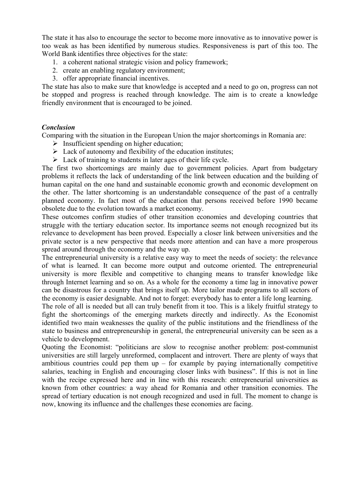The state it has also to encourage the sector to become more innovative as to innovative power is too weak as has been identified by numerous studies. Responsiveness is part of this too. The World Bank identifies three objectives for the state:

- 1. a coherent national strategic vision and policy framework;
- 2. create an enabling regulatory environment;
- 3. offer appropriate financial incentives.

The state has also to make sure that knowledge is accepted and a need to go on, progress can not be stopped and progress is reached through knowledge. The aim is to create a knowledge friendly environment that is encouraged to be joined.

#### *Conclusion*

Comparing with the situation in the European Union the major shortcomings in Romania are:

- $\triangleright$  Insufficient spending on higher education;
- $\triangleright$  Lack of autonomy and flexibility of the education institutes;
- $\triangleright$  Lack of training to students in later ages of their life cycle.

The first two shortcomings are mainly due to government policies. Apart from budgetary problems it reflects the lack of understanding of the link between education and the building of human capital on the one hand and sustainable economic growth and economic development on the other. The latter shortcoming is an understandable consequence of the past of a centrally planned economy. In fact most of the education that persons received before 1990 became obsolete due to the evolution towards a market economy.

These outcomes confirm studies of other transition economies and developing countries that struggle with the tertiary education sector. Its importance seems not enough recognized but its relevance to development has been proved. Especially a closer link between universities and the private sector is a new perspective that needs more attention and can have a more prosperous spread around through the economy and the way up.

The entrepreneurial university is a relative easy way to meet the needs of society: the relevance of what is learned. It can become more output and outcome oriented. The entrepreneurial university is more flexible and competitive to changing means to transfer knowledge like through Internet learning and so on. As a whole for the economy a time lag in innovative power can be disastrous for a country that brings itself up. More tailor made programs to all sectors of the economy is easier designable. And not to forget: everybody has to enter a life long learning.

The role of all is needed but all can truly benefit from it too. This is a likely fruitful strategy to fight the shortcomings of the emerging markets directly and indirectly. As the Economist identified two main weaknesses the quality of the public institutions and the friendliness of the state to business and entrepreneurship in general, the entrepreneurial university can be seen as a vehicle to development.

Quoting the Economist: "politicians are slow to recognise another problem: post-communist universities are still largely unreformed, complacent and introvert. There are plenty of ways that ambitious countries could pep them  $up$  – for example by paying internationally competitive salaries, teaching in English and encouraging closer links with business". If this is not in line with the recipe expressed here and in line with this research: entrepreneurial universities as known from other countries: a way ahead for Romania and other transition economies. The spread of tertiary education is not enough recognized and used in full. The moment to change is now, knowing its influence and the challenges these economies are facing.